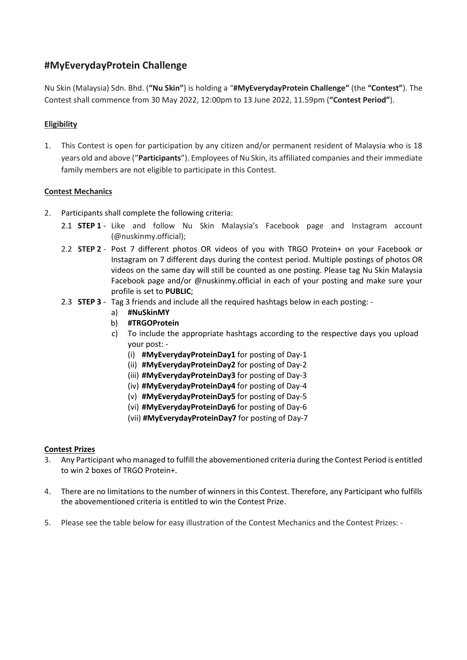# **#MyEverydayProtein Challenge**

Nu Skin (Malaysia) Sdn. Bhd. (**"Nu Skin"**) is holding a "**#MyEverydayProtein Challenge"** (the **"Contest"**). The Contest shall commence from 30 May 2022, 12:00pm to 13 June 2022, 11.59pm (**"Contest Period"**).

## **Eligibility**

1. This Contest is open for participation by any citizen and/or permanent resident of Malaysia who is 18 years old and above ("**Participants**"). Employees of Nu Skin, its affiliated companies and their immediate family members are not eligible to participate in this Contest.

## **Contest Mechanics**

- 2. Participants shall complete the following criteria:
	- 2.1 **STEP 1** Like and follow Nu Skin Malaysia's Facebook page and Instagram account (@nuskinmy.official);
	- 2.2 **STEP 2** Post 7 different photos OR videos of you with TRGO Protein+ on your Facebook or Instagram on 7 different days during the contest period. Multiple postings of photos OR videos on the same day will still be counted as one posting. Please tag Nu Skin Malaysia Facebook page and/or @nuskinmy.official in each of your posting and make sure your profile is set to **PUBLIC**;
	- 2.3 **STEP 3**  Tag 3 friends and include all the required hashtags below in each posting:
		- a) **#NuSkinMY**
		- b) **#TRGOProtein**
		- c) To include the appropriate hashtags according to the respective days you upload your post: -
			- (i) **#MyEverydayProteinDay1** for posting of Day-1
			- (ii) **#MyEverydayProteinDay2** for posting of Day-2
			- (iii) **#MyEverydayProteinDay3** for posting of Day-3
			- (iv) **#MyEverydayProteinDay4** for posting of Day-4
			- (v) **#MyEverydayProteinDay5** for posting of Day-5
			- (vi) **#MyEverydayProteinDay6** for posting of Day-6
			- (vii) **#MyEverydayProteinDay7** for posting of Day-7

#### **Contest Prizes**

- 3. Any Participant who managed to fulfill the abovementioned criteria during the Contest Period is entitled to win 2 boxes of TRGO Protein+.
- 4. There are no limitations to the number of winners in this Contest. Therefore, any Participant who fulfills the abovementioned criteria is entitled to win the Contest Prize.
- 5. Please see the table below for easy illustration of the Contest Mechanics and the Contest Prizes: -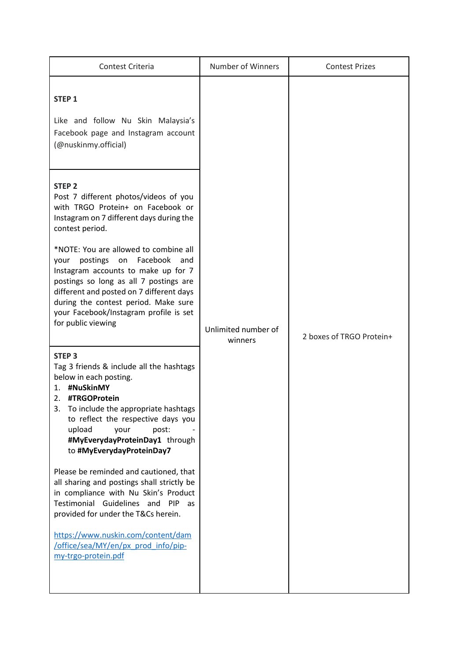| Contest Criteria                                                                                                                                                                                                                                                                                                                                                                                                                                                                                                                                                             | Number of Winners              | <b>Contest Prizes</b>    |
|------------------------------------------------------------------------------------------------------------------------------------------------------------------------------------------------------------------------------------------------------------------------------------------------------------------------------------------------------------------------------------------------------------------------------------------------------------------------------------------------------------------------------------------------------------------------------|--------------------------------|--------------------------|
| STEP <sub>1</sub><br>Like and follow Nu Skin Malaysia's<br>Facebook page and Instagram account<br>(@nuskinmy.official)                                                                                                                                                                                                                                                                                                                                                                                                                                                       | Unlimited number of<br>winners | 2 boxes of TRGO Protein+ |
| <b>STEP 2</b><br>Post 7 different photos/videos of you<br>with TRGO Protein+ on Facebook or<br>Instagram on 7 different days during the<br>contest period.<br>*NOTE: You are allowed to combine all<br>postings on Facebook<br>and<br>your<br>Instagram accounts to make up for 7<br>postings so long as all 7 postings are<br>different and posted on 7 different days<br>during the contest period. Make sure<br>your Facebook/Instagram profile is set<br>for public viewing                                                                                              |                                |                          |
| STEP <sub>3</sub><br>Tag 3 friends & include all the hashtags<br>below in each posting.<br>#NuSkinMY<br>1.<br>#TRGOProtein<br>2.<br>3.<br>To include the appropriate hashtags<br>to reflect the respective days you<br>upload<br>post:<br>your<br>#MyEverydayProteinDay1 through<br>to #MyEverydayProteinDay7<br>Please be reminded and cautioned, that<br>all sharing and postings shall strictly be<br>in compliance with Nu Skin's Product<br>Testimonial Guidelines and<br><b>PIP</b><br>as<br>provided for under the T&Cs herein.<br>https://www.nuskin.com/content/dam |                                |                          |
| /office/sea/MY/en/px prod info/pip-<br>my-trgo-protein.pdf                                                                                                                                                                                                                                                                                                                                                                                                                                                                                                                   |                                |                          |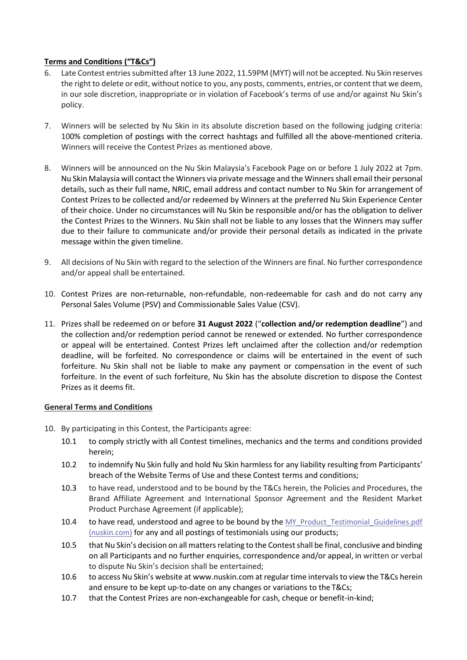### **Terms and Conditions ("T&Cs")**

- 6. Late Contest entries submitted after 13 June 2022, 11.59PM (MYT) will not be accepted. Nu Skin reserves the right to delete or edit, without notice to you, any posts, comments, entries,or content that we deem, in our sole discretion, inappropriate or in violation of Facebook's terms of use and/or against Nu Skin's policy.
- 7. Winners will be selected by Nu Skin in its absolute discretion based on the following judging criteria: 100% completion of postings with the correct hashtags and fulfilled all the above-mentioned criteria. Winners will receive the Contest Prizes as mentioned above.
- 8. Winners will be announced on the Nu Skin Malaysia's Facebook Page on or before 1 July 2022 at 7pm. Nu Skin Malaysia will contact the Winners via private message and the Winners shall email their personal details, such as their full name, NRIC, email address and contact number to Nu Skin for arrangement of Contest Prizes to be collected and/or redeemed by Winners at the preferred Nu Skin Experience Center of their choice. Under no circumstances will Nu Skin be responsible and/or has the obligation to deliver the Contest Prizes to the Winners. Nu Skin shall not be liable to any losses that the Winners may suffer due to their failure to communicate and/or provide their personal details as indicated in the private message within the given timeline.
- 9. All decisions of Nu Skin with regard to the selection of the Winners are final. No further correspondence and/or appeal shall be entertained.
- 10. Contest Prizes are non-returnable, non-refundable, non-redeemable for cash and do not carry any Personal Sales Volume (PSV) and Commissionable Sales Value (CSV).
- 11. Prizes shall be redeemed on or before **31 August 2022** ("**collection and/or redemption deadline**") and the collection and/or redemption period cannot be renewed or extended. No further correspondence or appeal will be entertained. Contest Prizes left unclaimed after the collection and/or redemption deadline, will be forfeited. No correspondence or claims will be entertained in the event of such forfeiture. Nu Skin shall not be liable to make any payment or compensation in the event of such forfeiture. In the event of such forfeiture, Nu Skin has the absolute discretion to dispose the Contest Prizes as it deems fit.

#### **General Terms and Conditions**

- 10. By participating in this Contest, the Participants agree:
	- 10.1 to comply strictly with all Contest timelines, mechanics and the terms and conditions provided herein;
	- 10.2 to indemnify Nu Skin fully and hold Nu Skin harmless for any liability resulting from Participants' breach of the Website Terms of Use and these Contest terms and conditions;
	- 10.3 to have read, understood and to be bound by the T&Cs herein, the Policies and Procedures, the Brand Affiliate Agreement and International Sponsor Agreement and the Resident Market Product Purchase Agreement (if applicable);
	- 10.4 to have read, understood and agree to be bound by the MY\_Product\_Testimonial\_Guidelines.pdf [\(nuskin.com\)](https://www.nuskin.com/content/dam/office/sea/MY/en/business_materials/MY_Product_Testimonial_Guidelines.pdf) for any and all postings of testimonials using our products;
	- 10.5 that Nu Skin's decision on all matters relating to the Contest shall be final, conclusive and binding on all Participants and no further enquiries, correspondence and/or appeal, in written or verbal to dispute Nu Skin's decision shall be entertained;
	- 10.6 to access Nu Skin's website at [www.nuskin.com a](http://www.nuskin.com/)t regular time intervals to view the T&Cs herein and ensure to be kept up-to-date on any changes or variations to the T&Cs;
	- 10.7 that the Contest Prizes are non-exchangeable for cash, cheque or benefit-in-kind;